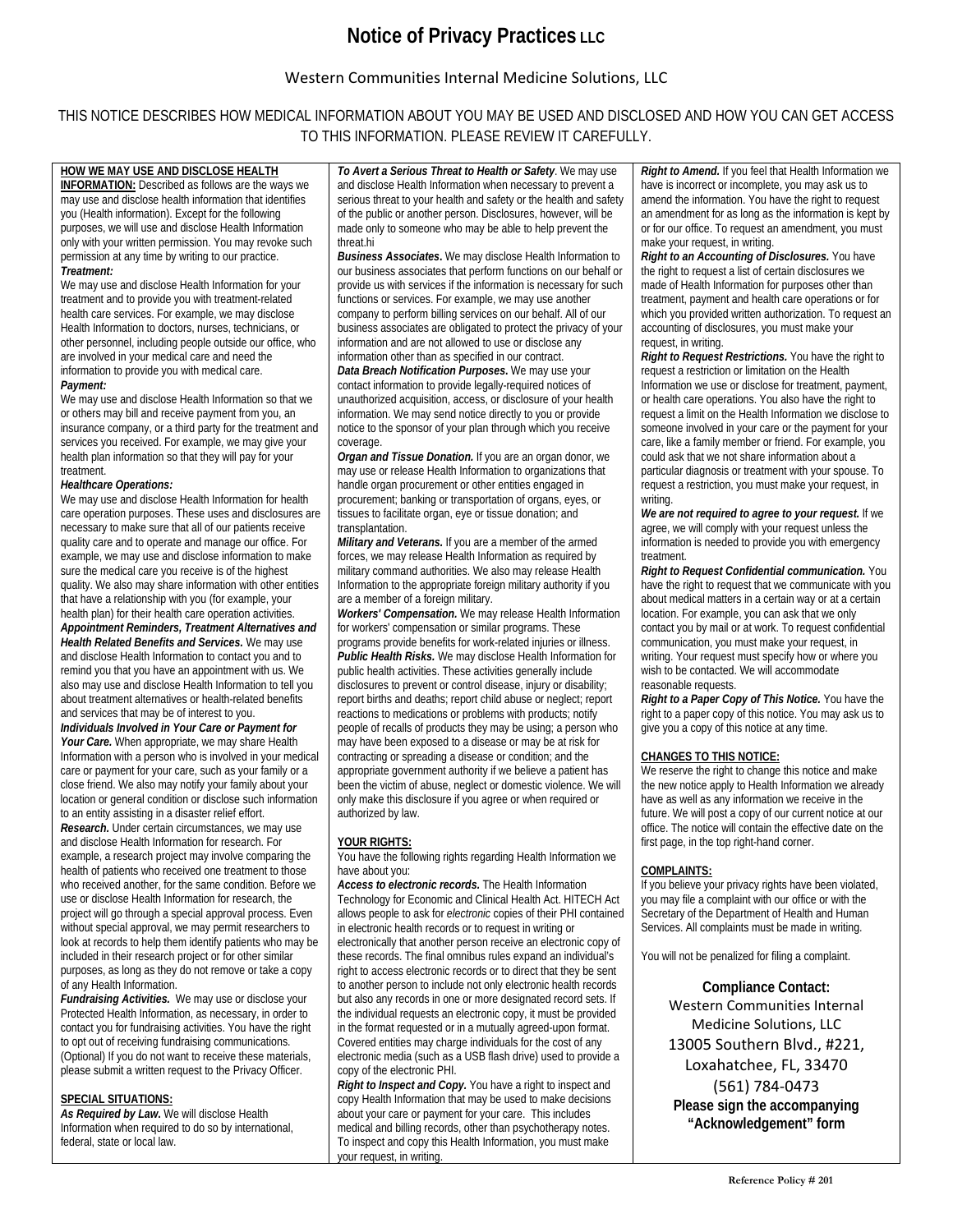## **Notice of Privacy Practices LLC**

### Western Communities Internal Medicine Solutions, LLC

### THIS NOTICE DESCRIBES HOW MEDICAL INFORMATION ABOUT YOU MAY BE USED AND DISCLOSED AND HOW YOU CAN GET ACCESS TO THIS INFORMATION. PLEASE REVIEW IT CAREFULLY.

**HOW WE MAY USE AND DISCLOSE HEALTH INFORMATION:** Described as follows are the ways we may use and disclose health information that identifies you (Health information). Except for the following purposes, we will use and disclose Health Information only with your written permission. You may revoke such permission at any time by writing to our practice. *Treatment:*

We may use and disclose Health Information for your treatment and to provide you with treatment-related health care services. For example, we may disclose Health Information to doctors, nurses, technicians, or other personnel, including people outside our office, who are involved in your medical care and need the information to provide you with medical care. *Payment:*

We may use and disclose Health Information so that we or others may bill and receive payment from you, an insurance company, or a third party for the treatment and services you received. For example, we may give your health plan information so that they will pay for your treatment.

#### *Healthcare Operations:*

We may use and disclose Health Information for health care operation purposes. These uses and disclosures are necessary to make sure that all of our patients receive quality care and to operate and manage our office. For example, we may use and disclose information to make sure the medical care you receive is of the highest quality. We also may share information with other entities that have a relationship with you (for example, your health plan) for their health care operation activities. *Appointment Reminders, Treatment Alternatives and Health Related Benefits and Services.* We may use and disclose Health Information to contact you and to remind you that you have an appointment with us. We also may use and disclose Health Information to tell you about treatment alternatives or health-related benefits and services that may be of interest to you.

*Individuals Involved in Your Care or Payment for*  Your Care. When appropriate, we may share Health Information with a person who is involved in your medical care or payment for your care, such as your family or a close friend. We also may notify your family about your location or general condition or disclose such information to an entity assisting in a disaster relief effort. *Research.* Under certain circumstances, we may use and disclose Health Information for research. For example, a research project may involve comparing the health of patients who received one treatment to those who received another, for the same condition. Before we use or disclose Health Information for research, the project will go through a special approval process. Even without special approval, we may permit researchers to look at records to help them identify patients who may be included in their research project or for other similar purposes, as long as they do not remove or take a copy of any Health Information.

*Fundraising Activities.*We may use or disclose your Protected Health Information, as necessary, in order to contact you for fundraising activities. You have the right to opt out of receiving fundraising communications. (Optional) If you do not want to receive these materials, please submit a written request to the Privacy Officer.

#### **SPECIAL SITUATIONS:**

*As Required by Law***.** We will disclose Health Information when required to do so by international, federal, state or local law.

*To Avert a Serious Threat to Health or Safety*. We may use and disclose Health Information when necessary to prevent a serious threat to your health and safety or the health and safety of the public or another person. Disclosures, however, will be made only to someone who may be able to help prevent the threat.hi

*Business Associates***.** We may disclose Health Information to our business associates that perform functions on our behalf or provide us with services if the information is necessary for such functions or services. For example, we may use another company to perform billing services on our behalf. All of our business associates are obligated to protect the privacy of your information and are not allowed to use or disclose any information other than as specified in our contract.

*Data Breach Notification Purposes***.** We may use your contact information to provide legally-required notices of unauthorized acquisition, access, or disclosure of your health information. We may send notice directly to you or provide notice to the sponsor of your plan through which you receive coverage.

*Organ and Tissue Donation.* If you are an organ donor, we may use or release Health Information to organizations that handle organ procurement or other entities engaged in procurement; banking or transportation of organs, eyes, or tissues to facilitate organ, eye or tissue donation; and transplantation.

*Military and Veterans.* If you are a member of the armed forces, we may release Health Information as required by military command authorities. We also may release Health Information to the appropriate foreign military authority if you are a member of a foreign military.

*Workers' Compensation.* We may release Health Information for workers' compensation or similar programs. These programs provide benefits for work-related injuries or illness. *Public Health Risks.* We may disclose Health Information for public health activities. These activities generally include disclosures to prevent or control disease, injury or disability; report births and deaths; report child abuse or neglect; report reactions to medications or problems with products; notify people of recalls of products they may be using; a person who may have been exposed to a disease or may be at risk for contracting or spreading a disease or condition; and the appropriate government authority if we believe a patient has been the victim of abuse, neglect or domestic violence. We will only make this disclosure if you agree or when required or authorized by law.

#### **YOUR RIGHTS:**

You have the following rights regarding Health Information we have about you:

*Access to electronic records.* The Health Information Technology for Economic and Clinical Health Act. HITECH Act allows people to ask for *electronic* copies of their PHI contained in electronic health records or to request in writing or electronically that another person receive an electronic copy of these records. The final omnibus rules expand an individual's right to access electronic records or to direct that they be sent to another person to include not only electronic health records but also any records in one or more designated record sets. If the individual requests an electronic copy, it must be provided in the format requested or in a mutually agreed-upon format. Covered entities may charge individuals for the cost of any electronic media (such as a USB flash drive) used to provide a copy of the electronic PHI.

*Right to Inspect and Copy.* You have a right to inspect and copy Health Information that may be used to make decisions about your care or payment for your care. This includes medical and billing records, other than psychotherapy notes. To inspect and copy this Health Information, you must make your request, in writing.

*Right to Amend.* If you feel that Health Information we have is incorrect or incomplete, you may ask us to amend the information. You have the right to request an amendment for as long as the information is kept by or for our office. To request an amendment, you must make your request, in writing.

*Right to an Accounting of Disclosures.* You have the right to request a list of certain disclosures we made of Health Information for purposes other than treatment, payment and health care operations or for which you provided written authorization. To request an accounting of disclosures, you must make your request, in writing.

*Right to Request Restrictions.* You have the right to request a restriction or limitation on the Health Information we use or disclose for treatment, payment, or health care operations. You also have the right to request a limit on the Health Information we disclose to someone involved in your care or the payment for your care, like a family member or friend. For example, you could ask that we not share information about a particular diagnosis or treatment with your spouse. To request a restriction, you must make your request, in writing.

*We are not required to agree to your request.* If we agree, we will comply with your request unless the information is needed to provide you with emergency treatment.

*Right to Request Confidential communication.* You have the right to request that we communicate with you about medical matters in a certain way or at a certain location. For example, you can ask that we only contact you by mail or at work. To request confidential communication, you must make your request, in writing. Your request must specify how or where you wish to be contacted. We will accommodate reasonable requests.

*Right to a Paper Copy of This Notice.* You have the right to a paper copy of this notice. You may ask us to give you a copy of this notice at any time.

#### **CHANGES TO THIS NOTICE:**

We reserve the right to change this notice and make the new notice apply to Health Information we already have as well as any information we receive in the future. We will post a copy of our current notice at our office. The notice will contain the effective date on the first page, in the top right-hand corner.

#### **COMPLAINTS:**

If you believe your privacy rights have been violated, you may file a complaint with our office or with the Secretary of the Department of Health and Human Services. All complaints must be made in writing.

You will not be penalized for filing a complaint.

**Compliance Contact:** Western Communities Internal Medicine Solutions, LLC 13005 Southern Blvd., #221, Loxahatchee, FL, 33470 (561) 784-0473 **Please sign the accompanying "Acknowledgement" form**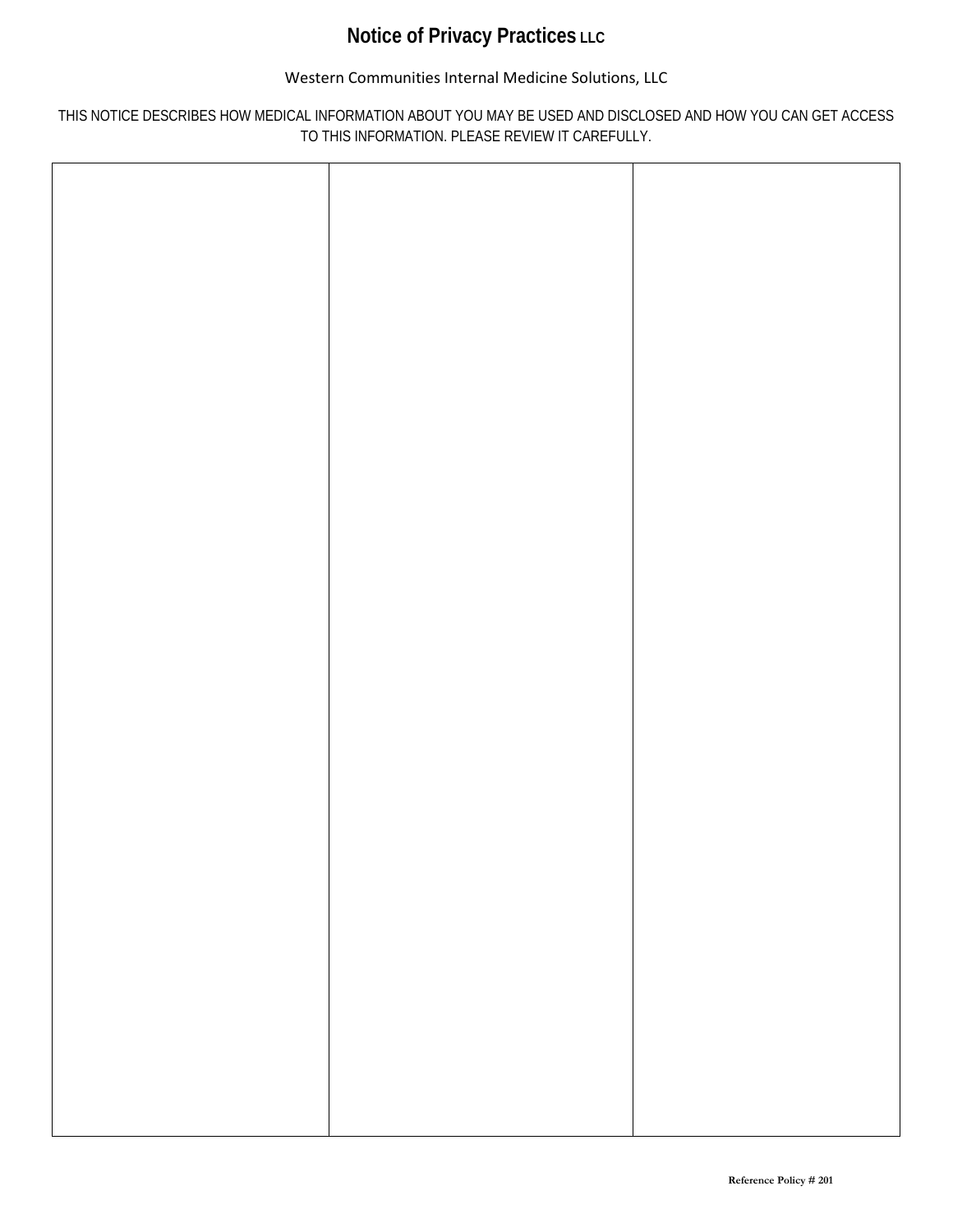# **Notice of Privacy Practices LLC**

## Western Communities Internal Medicine Solutions, LLC

## THIS NOTICE DESCRIBES HOW MEDICAL INFORMATION ABOUT YOU MAY BE USED AND DISCLOSED AND HOW YOU CAN GET ACCESS TO THIS INFORMATION. PLEASE REVIEW IT CAREFULLY.